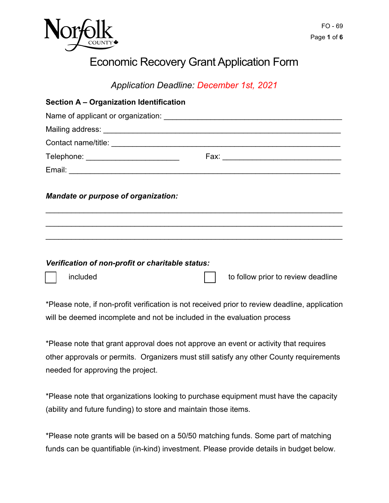

# Economic Recovery Grant Application Form

*Application Deadline: December 1st, 2021* 

| <b>Section A - Organization Identification</b>   |                                    |
|--------------------------------------------------|------------------------------------|
|                                                  |                                    |
|                                                  |                                    |
|                                                  |                                    |
| Telephone: __________________________            |                                    |
|                                                  |                                    |
| <b>Mandate or purpose of organization:</b>       |                                    |
| Verification of non-profit or charitable status: |                                    |
| included                                         | to follow prior to review deadline |

\*Please note, if non-profit verification is not received prior to review deadline, application will be deemed incomplete and not be included in the evaluation process

 other approvals or permits. Organizers must still satisfy any other County requirements \*Please note that grant approval does not approve an event or activity that requires needed for approving the project.

\*Please note that organizations looking to purchase equipment must have the capacity (ability and future funding) to store and maintain those items.

\*Please note grants will be based on a 50/50 matching funds. Some part of matching funds can be quantifiable (in-kind) investment. Please provide details in budget below.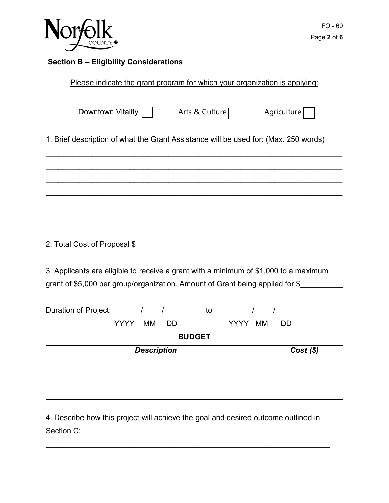

# **Section B – Eligibility Considerations**

| Please indicate the grant program for which your organization is applying:                                                                                            |             |
|-----------------------------------------------------------------------------------------------------------------------------------------------------------------------|-------------|
| Downtown Vitality     Arts & Culture                                                                                                                                  | Agriculture |
| 1. Brief description of what the Grant Assistance will be used for: (Max. 250 words)                                                                                  |             |
|                                                                                                                                                                       |             |
|                                                                                                                                                                       |             |
| 3. Applicants are eligible to receive a grant with a minimum of \$1,000 to a maximum<br>grant of \$5,000 per group/organization. Amount of Grant being applied for \$ |             |
| Duration of Project: ______ /____ /____<br>to / /<br>YYYY MM<br>YYYY MM<br>DD                                                                                         | DD          |
| <b>BUDGET</b>                                                                                                                                                         |             |
| <b>Description</b>                                                                                                                                                    | $Cost($ \$) |
|                                                                                                                                                                       |             |
|                                                                                                                                                                       |             |
|                                                                                                                                                                       |             |
|                                                                                                                                                                       |             |
| 4. Describe how this project will achieve the goal and desired outcome outlined in                                                                                    |             |

\_\_\_\_\_\_\_\_\_\_\_\_\_\_\_\_\_\_\_\_\_\_\_\_\_\_\_\_\_\_\_\_\_\_\_\_\_\_\_\_\_\_\_\_\_\_\_\_\_\_\_\_\_\_\_\_\_\_\_\_\_\_\_\_\_\_\_

Section C: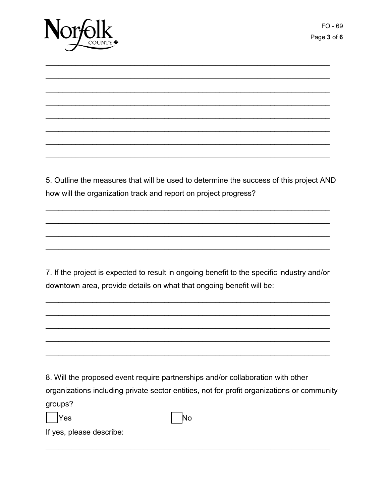

5. Outline the measures that will be used to determine the success of this project AND how will the organization track and report on project progress?

7. If the project is expected to result in ongoing benefit to the specific industry and/or downtown area, provide details on what that ongoing benefit will be:

8. Will the proposed event require partnerships and/or collaboration with other organizations including private sector entities, not for profit organizations or community groups?

Yes



If yes, please describe: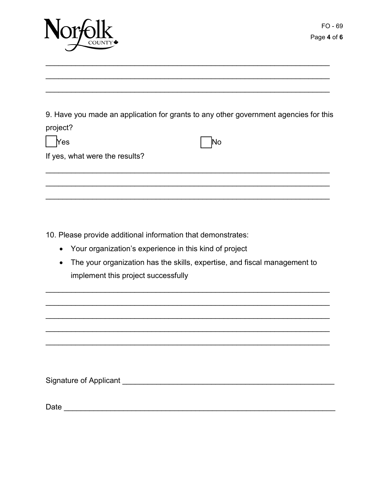

9. Have you made an application for grants to any other government agencies for this project?

| $\Box$ Yes                     | $\vert$ No |
|--------------------------------|------------|
| If yes, what were the results? |            |

10. Please provide additional information that demonstrates:

- Your organization's experience in this kind of project
- The your organization has the skills, expertise, and fiscal management to implement this project successfully

Signature of Applicant and the state of the state of the state of the state of the state of the state of the state of the state of the state of the state of the state of the state of the state of the state of the state of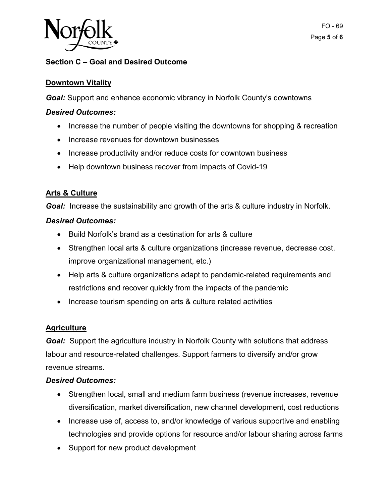

# **Section C – Goal and Desired Outcome**

# **Downtown Vitality**

*Goal:* Support and enhance economic vibrancy in Norfolk County's downtowns

## *Desired Outcomes:*

- Increase the number of people visiting the downtowns for shopping & recreation
- Increase revenues for downtown businesses
- Increase productivity and/or reduce costs for downtown business
- Help downtown business recover from impacts of Covid-19

# **Arts & Culture**

**Goal:** Increase the sustainability and growth of the arts & culture industry in Norfolk.

### *Desired Outcomes:*

- Build Norfolk's brand as a destination for arts & culture
- • Strengthen local arts & culture organizations (increase revenue, decrease cost, improve organizational management, etc.)
- Help arts & culture organizations adapt to pandemic-related requirements and restrictions and recover quickly from the impacts of the pandemic
- Increase tourism spending on arts & culture related activities

### **Agriculture**

Goal: Support the agriculture industry in Norfolk County with solutions that address labour and resource-related challenges. Support farmers to diversify and/or grow revenue streams.

### *Desired Outcomes:*

- • Strengthen local, small and medium farm business (revenue increases, revenue diversification, market diversification, new channel development, cost reductions
- technologies and provide options for resource and/or labour sharing across farms • Increase use of, access to, and/or knowledge of various supportive and enabling
- Support for new product development